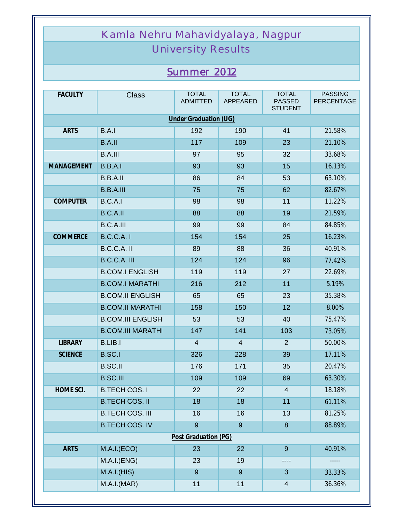## Kamla Nehru Mahavidyalaya, Nagpur

## University Results

## *Summer 2012*

| <b>FACULTY</b>        | <b>Class</b>             | <b>TOTAL</b><br><b>ADMITTED</b> | <b>TOTAL</b><br><b>APPEARED</b> | <b>TOTAL</b><br><b>PASSED</b><br><b>STUDENT</b> | <b>PASSING</b><br><b>PERCENTAGE</b> |  |  |
|-----------------------|--------------------------|---------------------------------|---------------------------------|-------------------------------------------------|-------------------------------------|--|--|
| Under Graduation (UG) |                          |                                 |                                 |                                                 |                                     |  |  |
| <b>ARTS</b>           | B.A.I                    | 192                             | 190                             | 41                                              | 21.58%                              |  |  |
|                       | B.A.II                   | 117                             | 109                             | 23                                              | 21.10%                              |  |  |
|                       | <b>B.A.III</b>           | 97                              | 95                              | 32                                              | 33.68%                              |  |  |
| <b>MANAGEMENT</b>     | B.B.A.I                  | 93                              | 93                              | 15                                              | 16.13%                              |  |  |
|                       | B.B.A.II                 | 86                              | 84                              | 53                                              | 63.10%                              |  |  |
|                       | <b>B.B.A.III</b>         | 75                              | 75                              | 62                                              | 82.67%                              |  |  |
| <b>COMPUTER</b>       | B.C.A.I                  | 98                              | 98                              | 11                                              | 11.22%                              |  |  |
|                       | B.C.A.II                 | 88                              | 88                              | 19                                              | 21.59%                              |  |  |
|                       | <b>B.C.A.III</b>         | 99                              | 99                              | 84                                              | 84.85%                              |  |  |
| <b>COMMERCE</b>       | <b>B.C.C.A. I</b>        | 154                             | 154                             | 25                                              | 16.23%                              |  |  |
|                       | B.C.C.A. II              | 89                              | 88                              | 36                                              | 40.91%                              |  |  |
|                       | B.C.C.A. III             | 124                             | 124                             | 96                                              | 77.42%                              |  |  |
|                       | <b>B.COM.I ENGLISH</b>   | 119                             | 119                             | 27                                              | 22.69%                              |  |  |
|                       | <b>B.COM.I MARATHI</b>   | 216                             | 212                             | 11                                              | 5.19%                               |  |  |
|                       | <b>B.COM.II ENGLISH</b>  | 65                              | 65                              | 23                                              | 35.38%                              |  |  |
|                       | <b>B.COM.II MARATHI</b>  | 158                             | 150                             | 12                                              | 8.00%                               |  |  |
|                       | <b>B.COM.III ENGLISH</b> | 53                              | 53                              | 40                                              | 75.47%                              |  |  |
|                       | <b>B.COM.III MARATHI</b> | 147                             | 141                             | 103                                             | 73.05%                              |  |  |
| <b>LIBRARY</b>        | <b>B.LIB.I</b>           | 4                               | $\overline{4}$                  | $\overline{2}$                                  | 50.00%                              |  |  |
| <b>SCIENCE</b>        | <b>B.SC.I</b>            | 326                             | 228                             | 39                                              | 17.11%                              |  |  |
|                       | <b>B.SC.II</b>           | 176                             | 171                             | 35                                              | 20.47%                              |  |  |
|                       | <b>B.SC.III</b>          | 109                             | 109                             | 69                                              | 63.30%                              |  |  |
| HOME SCI.             | <b>B.TECH COS. I</b>     | 22                              | 22                              | $\overline{4}$                                  | 18.18%                              |  |  |
|                       | <b>B.TECH COS. II</b>    | 18                              | 18                              | 11                                              | 61.11%                              |  |  |
|                       | <b>B.TECH COS. III</b>   | 16                              | 16                              | 13                                              | 81.25%                              |  |  |
|                       | <b>B.TECH COS. IV</b>    | 9                               | $\overline{9}$                  | $\boldsymbol{8}$                                | 88.89%                              |  |  |
| Post Graduation (PG)  |                          |                                 |                                 |                                                 |                                     |  |  |
| <b>ARTS</b>           | M.A.I.(ECO)              | 23                              | 22                              | $9\,$                                           | 40.91%                              |  |  |
|                       | M.A.I.(ENG)              | 23                              | 19                              | ----                                            |                                     |  |  |
|                       | M.A.I.(HIS)              | 9                               | 9                               | 3                                               | 33.33%                              |  |  |
|                       | M.A.I.(MAR)              | 11                              | 11                              | $\overline{4}$                                  | 36.36%                              |  |  |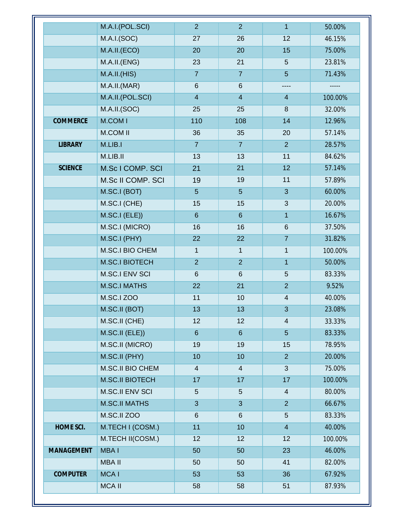|                 | M.A.I.(POL.SCI)        | $\overline{2}$ | $\overline{2}$ | $\mathbf{1}$             | 50.00%  |
|-----------------|------------------------|----------------|----------------|--------------------------|---------|
|                 | M.A.I.(SOC)            | 27             | 26             | 12                       | 46.15%  |
|                 | M.A.II.(ECO)           | 20             | 20             | 15                       | 75.00%  |
|                 | M.A.II.(ENG)           | 23             | 21             | 5                        | 23.81%  |
|                 | M.A.I.I.(HIS)          | $\overline{7}$ | $\overline{7}$ | $5\phantom{.}$           | 71.43%  |
|                 | M.A.I.I.(MAR)          | 6              | 6              |                          | -----   |
|                 | M.A.II.(POL.SCI)       | $\overline{4}$ | $\overline{4}$ | $\overline{4}$           | 100.00% |
|                 | M.A.II.(SOC)           | 25             | 25             | 8                        | 32.00%  |
| <b>COMMERCE</b> | <b>M.COMI</b>          | 110            | 108            | 14                       | 12.96%  |
|                 | <b>M.COM II</b>        | 36             | 35             | 20                       | 57.14%  |
| <b>LIBRARY</b>  | M.LIB.I                | $\overline{7}$ | $\overline{7}$ | 2                        | 28.57%  |
|                 | M.LIB.II               | 13             | 13             | 11                       | 84.62%  |
| <b>SCIENCE</b>  | M.Sc I COMP. SCI       | 21             | 21             | 12                       | 57.14%  |
|                 | M.Sc II COMP. SCI      | 19             | 19             | 11                       | 57.89%  |
|                 | M.SC.I (BOT)           | $5\phantom{.}$ | $5\phantom{.}$ | 3                        | 60.00%  |
|                 | M.SC.I (CHE)           | 15             | 15             | 3                        | 20.00%  |
|                 | M.SC.I (ELE))          | $6\phantom{1}$ | $6\phantom{1}$ | $\mathbf{1}$             | 16.67%  |
|                 | M.SC.I (MICRO)         | 16             | 16             | $\,6\,$                  | 37.50%  |
|                 | M.SC.I (PHY)           | 22             | 22             | $\overline{7}$           | 31.82%  |
|                 | M.SC.I BIO CHEM        | $\mathbf{1}$   | $\mathbf{1}$   | $\mathbf{1}$             | 100.00% |
|                 | <b>M.SC.I BIOTECH</b>  | $\overline{2}$ | $\overline{2}$ | $\mathbf{1}$             | 50.00%  |
|                 | <b>M.SC.I ENV SCI</b>  | 6              | $6\phantom{1}$ | 5                        | 83.33%  |
|                 | <b>M.SC.I MATHS</b>    | 22             | 21             | $\overline{2}$           | 9.52%   |
|                 | <b>M.SC.I ZOO</b>      | 11             | 10             | $\overline{\mathcal{A}}$ | 40.00%  |
|                 | M.SC.II (BOT)          | 13             | 13             | $\mathbf{3}$             | 23.08%  |
|                 | M.SC.II (CHE)          | 12             | 12             | $\overline{4}$           | 33.33%  |
|                 | M.SC.II (ELE))         | $6\phantom{1}$ | $6\phantom{1}$ | $5\phantom{.}$           | 83.33%  |
|                 | M.SC.II (MICRO)        | 19             | 19             | 15                       | 78.95%  |
|                 | M.SC.II (PHY)          | 10             | 10             | 2 <sup>1</sup>           | 20.00%  |
|                 | M.SC.II BIO CHEM       | $\overline{4}$ | $\overline{4}$ | 3                        | 75.00%  |
|                 | <b>M.SC.II BIOTECH</b> | 17             | 17             | 17                       | 100.00% |
|                 | <b>M.SC.II ENV SCI</b> | 5              | 5              | $\overline{4}$           | 80.00%  |
|                 | <b>M.SC.II MATHS</b>   | 3              | 3              | 2                        | 66.67%  |
|                 | M.SC.II ZOO            | 6              | $6\phantom{1}$ | $\overline{5}$           | 83.33%  |
| HOME SCI.       | M.TECH I (COSM.)       | 11             | 10             | $\overline{4}$           | 40.00%  |
|                 | M.TECH II(COSM.)       | 12             | 12             | 12                       | 100.00% |
| MANAGEMENT      | <b>MBAI</b>            | 50             | 50             | 23                       | 46.00%  |
|                 | <b>MBA II</b>          | 50             | 50             | 41                       | 82.00%  |
| <b>COMPUTER</b> | <b>MCAI</b>            | 53             | 53             | 36                       | 67.92%  |
|                 | <b>MCA II</b>          | 58             | 58             | 51                       | 87.93%  |
|                 |                        |                |                |                          |         |